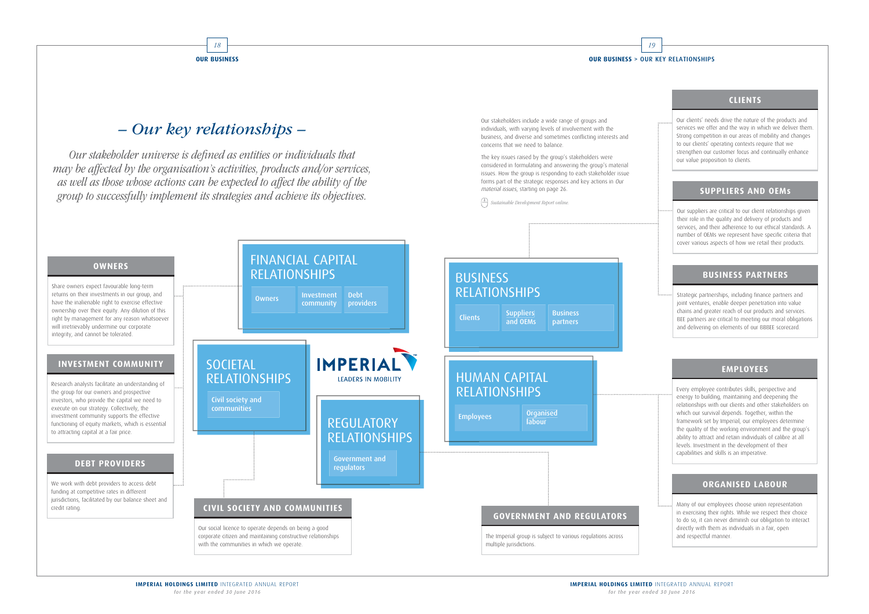#### **OUR BUSINESS > OUR KEY RELATIONSHIPS**

Our stakeholders include a wide range of groups and individuals, with varying levels of involvement with the business, and diverse and sometimes conflicting interests and concerns that we need to balance.

The key issues raised by the group's stakeholders were considered in formulating and answering the group's material issues. How the group is responding to each stakeholder issue forms part of the strategic responses and key actions in Our material issues, starting on page 26.

 $\bigcap$  Sustainable Development Report online.



18

**GUR BUSINESS** 

Our stakeholder universe is defined as entities or individuals that may be affected by the organisation's activities, products and/or services, as well as those whose actions can be expected to affect the ability of the group to successfully implement its strategies and achieve its objectives.

# **CLIENTS**

Our clients' needs drive the nature of the products and services we offer and the way in which we deliver them. Strong competition in our areas of mobility and changes to our clients' operating contexts require that we strengthen our customer focus and continually enhance our value proposition to clients.

#### **SUPPLIERS AND OEMs**

Our suppliers are critical to our client relationships given their role in the quality and delivery of products and services, and their adherence to our ethical standards. A number of OEMs we represent have specific criteria that cover various aspects of how we retail their products.

### **BUSINESS PARTNERS**

Strategic partnerships, including finance partners and joint ventures, enable deeper penetration into value chains and greater reach of our products and services. BEE partners are critical to meeting our moral obligations and delivering on elements of our BBBEE scorecard.

### **EMPLOYEES**

Every employee contributes skills, perspective and energy to building, maintaining and deepening the relationships with our clients and other stakeholders on which our survival depends. Together, within the framework set by Imperial, our employees determine the quality of the working environment and the group's ability to attract and retain individuals of calibre at all levels. Investment in the development of their capabilities and skills is an imperative.

### **ORGANISED LABOUR**

Many of our employees choose union representation in exercising their rights. While we respect their choice to do so, it can never diminish our obligation to interact directly with them as individuals in a fair, open and respectful manner.

# *– Our key relationships –*